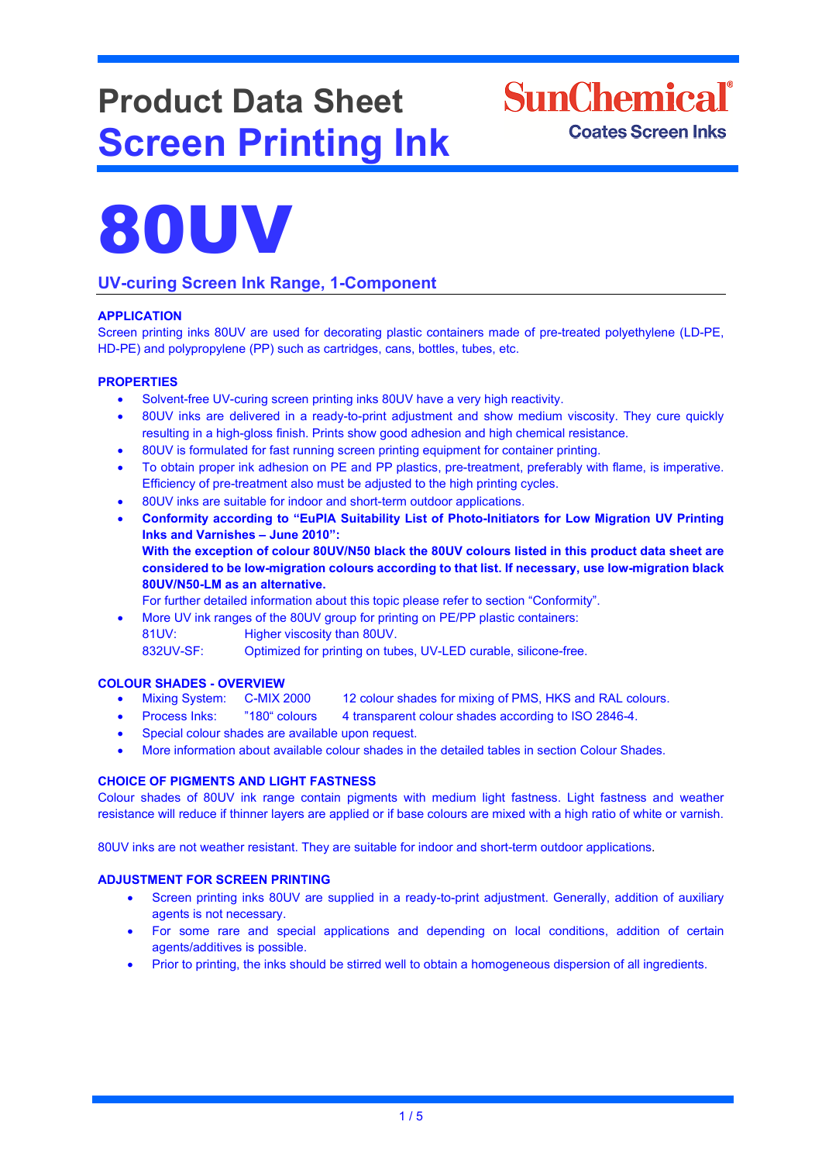# **Product Data Sheet Screen Printing Ink**

## **SunChemical**<sup>®</sup> **Coates Screen Inks**



### **UV-curing Screen Ink Range, 1-Component**

#### **APPLICATION**

Screen printing inks 80UV are used for decorating plastic containers made of pre-treated polyethylene (LD-PE, HD-PE) and polypropylene (PP) such as cartridges, cans, bottles, tubes, etc.

#### **PROPERTIES**

- Solvent-free UV-curing screen printing inks 80UV have a very high reactivity.
- 80UV inks are delivered in a ready-to-print adjustment and show medium viscosity. They cure quickly resulting in a high-gloss finish. Prints show good adhesion and high chemical resistance.
- 80UV is formulated for fast running screen printing equipment for container printing.
- To obtain proper ink adhesion on PE and PP plastics, pre-treatment, preferably with flame, is imperative. Efficiency of pre-treatment also must be adjusted to the high printing cycles.
- 80UV inks are suitable for indoor and short-term outdoor applications.
- **Conformity according to "EuPIA Suitability List of Photo-Initiators for Low Migration UV Printing Inks and Varnishes – June 2010": With the exception of colour 80UV/N50 black the 80UV colours listed in this product data sheet are considered to be low-migration colours according to that list. If necessary, use low-migration black 80UV/N50-LM as an alternative.**

For further detailed information about this topic please refer to section "Conformity".

• More UV ink ranges of the 80UV group for printing on PE/PP plastic containers: 81UV: Higher viscosity than 80UV. 832UV-SF: Optimized for printing on tubes, UV-LED curable, silicone-free.

#### **COLOUR SHADES - OVERVIEW**

- Mixing System: C-MIX 2000 12 colour shades for mixing of PMS, HKS and RAL colours.
- Process Inks: "180" colours 4 transparent colour shades according to ISO 2846-4.
- Special colour shades are available upon request.
- More information about available colour shades in the detailed tables in section Colour Shades.

#### **CHOICE OF PIGMENTS AND LIGHT FASTNESS**

Colour shades of 80UV ink range contain pigments with medium light fastness. Light fastness and weather resistance will reduce if thinner layers are applied or if base colours are mixed with a high ratio of white or varnish.

80UV inks are not weather resistant. They are suitable for indoor and short-term outdoor applications.

#### **ADJUSTMENT FOR SCREEN PRINTING**

- Screen printing inks 80UV are supplied in a ready-to-print adjustment. Generally, addition of auxiliary agents is not necessary.
- For some rare and special applications and depending on local conditions, addition of certain agents/additives is possible.
- Prior to printing, the inks should be stirred well to obtain a homogeneous dispersion of all ingredients.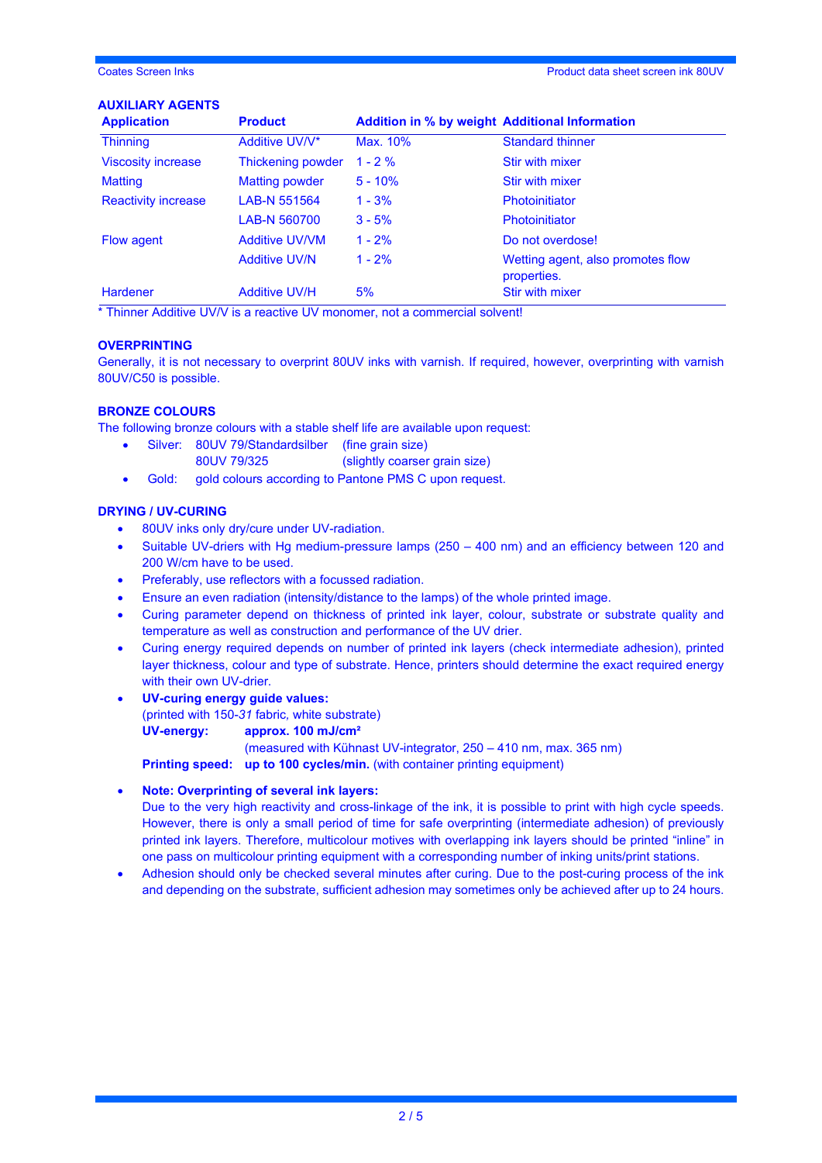#### **AUXILIARY AGENTS**

| <b>Application</b>         | <b>Product</b>        | <b>Addition in % by weight Additional Information</b> |                                                  |
|----------------------------|-----------------------|-------------------------------------------------------|--------------------------------------------------|
| <b>Thinning</b>            | Additive UV/V*        | Max. 10%                                              | <b>Standard thinner</b>                          |
| <b>Viscosity increase</b>  | Thickening powder     | $1 - 2 \%$                                            | Stir with mixer                                  |
| <b>Matting</b>             | Matting powder        | $5 - 10%$                                             | Stir with mixer                                  |
| <b>Reactivity increase</b> | LAB-N 551564          | $1 - 3%$                                              | Photoinitiator                                   |
|                            | LAB-N 560700          | $3 - 5%$                                              | Photoinitiator                                   |
| Flow agent                 | <b>Additive UV/VM</b> | $1 - 2%$                                              | Do not overdose!                                 |
|                            | <b>Additive UV/N</b>  | $1 - 2%$                                              | Wetting agent, also promotes flow<br>properties. |
| <b>Hardener</b>            | <b>Additive UV/H</b>  | 5%                                                    | <b>Stir with mixer</b>                           |

\* Thinner Additive UV/V is a reactive UV monomer, not a commercial solvent!

#### **OVERPRINTING**

Generally, it is not necessary to overprint 80UV inks with varnish. If required, however, overprinting with varnish 80UV/C50 is possible.

#### **BRONZE COLOURS**

The following bronze colours with a stable shelf life are available upon request:

- Silver: 80UV 79/Standardsilber (fine grain size)
- 80UV 79/325 (slightly coarser grain size)
- Gold: gold colours according to Pantone PMS C upon request.

#### **DRYING / UV-CURING**

- 80UV inks only dry/cure under UV-radiation.
- Suitable UV-driers with Hg medium-pressure lamps (250 400 nm) and an efficiency between 120 and 200 W/cm have to be used.
- Preferably, use reflectors with a focussed radiation.
- Ensure an even radiation (intensity/distance to the lamps) of the whole printed image.
- Curing parameter depend on thickness of printed ink layer, colour, substrate or substrate quality and temperature as well as construction and performance of the UV drier.
- Curing energy required depends on number of printed ink layers (check intermediate adhesion), printed layer thickness, colour and type of substrate. Hence, printers should determine the exact required energy with their own UV-drier.
- **UV-curing energy guide values:**  (printed with 150-*31* fabric*,* white substrate) **UV-energy: approx. 100 mJ/cm²** (measured with Kühnast UV-integrator, 250 – 410 nm, max. 365 nm)

**Printing speed: up to 100 cycles/min.** (with container printing equipment)

#### • **Note: Overprinting of several ink layers:**

Due to the very high reactivity and cross-linkage of the ink, it is possible to print with high cycle speeds. However, there is only a small period of time for safe overprinting (intermediate adhesion) of previously printed ink layers. Therefore, multicolour motives with overlapping ink layers should be printed "inline" in one pass on multicolour printing equipment with a corresponding number of inking units/print stations.

• Adhesion should only be checked several minutes after curing. Due to the post-curing process of the ink and depending on the substrate, sufficient adhesion may sometimes only be achieved after up to 24 hours.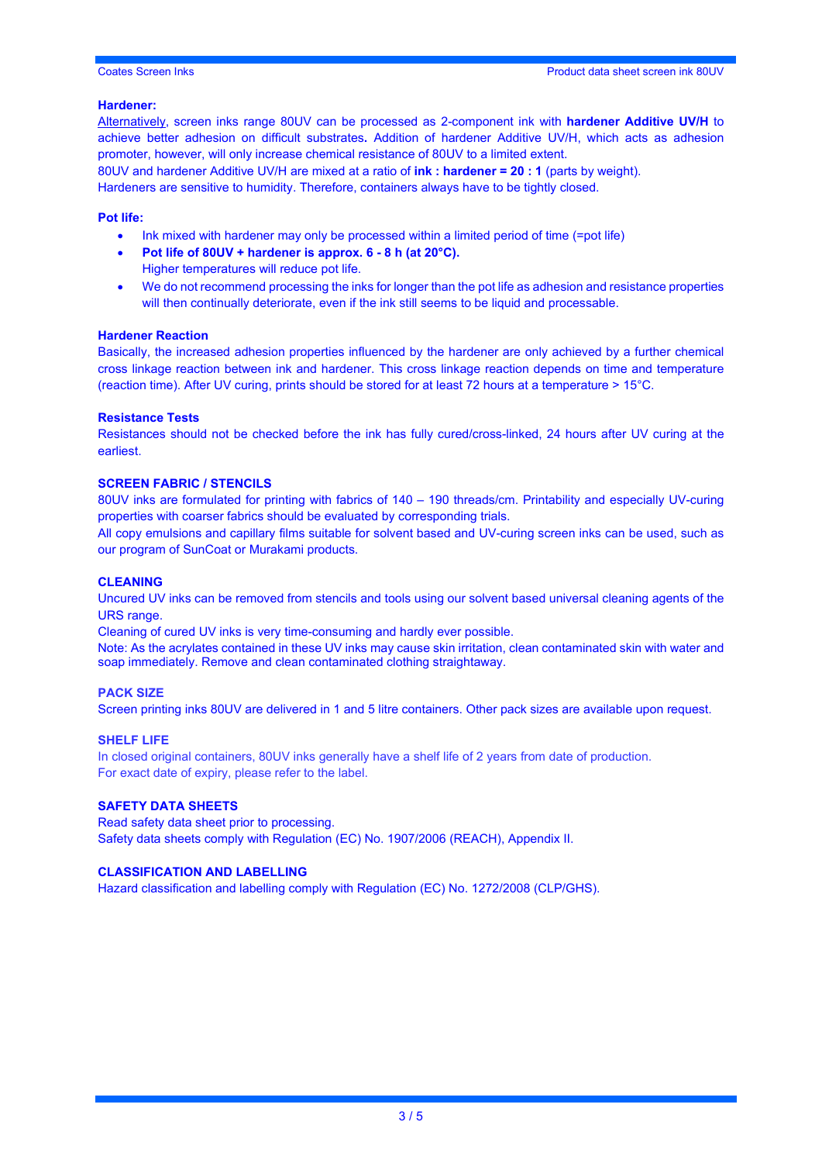#### **Hardener:**

Alternatively, screen inks range 80UV can be processed as 2-component ink with **hardener Additive UV/H** to achieve better adhesion on difficult substrates**.** Addition of hardener Additive UV/H, which acts as adhesion promoter, however, will only increase chemical resistance of 80UV to a limited extent.

80UV and hardener Additive UV/H are mixed at a ratio of **ink : hardener = 20 : 1** (parts by weight). Hardeners are sensitive to humidity. Therefore, containers always have to be tightly closed.

#### **Pot life:**

- Ink mixed with hardener may only be processed within a limited period of time (=pot life)
- **Pot life of 80UV + hardener is approx. 6 - 8 h (at 20°C).** Higher temperatures will reduce pot life.
- We do not recommend processing the inks for longer than the pot life as adhesion and resistance properties will then continually deteriorate, even if the ink still seems to be liquid and processable.

#### **Hardener Reaction**

Basically, the increased adhesion properties influenced by the hardener are only achieved by a further chemical cross linkage reaction between ink and hardener. This cross linkage reaction depends on time and temperature (reaction time). After UV curing, prints should be stored for at least 72 hours at a temperature > 15°C.

#### **Resistance Tests**

Resistances should not be checked before the ink has fully cured/cross-linked, 24 hours after UV curing at the earliest.

#### **SCREEN FABRIC / STENCILS**

80UV inks are formulated for printing with fabrics of 140 – 190 threads/cm. Printability and especially UV-curing properties with coarser fabrics should be evaluated by corresponding trials.

All copy emulsions and capillary films suitable for solvent based and UV-curing screen inks can be used, such as our program of SunCoat or Murakami products.

#### **CLEANING**

Uncured UV inks can be removed from stencils and tools using our solvent based universal cleaning agents of the URS range.

Cleaning of cured UV inks is very time-consuming and hardly ever possible.

Note: As the acrylates contained in these UV inks may cause skin irritation, clean contaminated skin with water and soap immediately. Remove and clean contaminated clothing straightaway.

#### **PACK SIZE**

Screen printing inks 80UV are delivered in 1 and 5 litre containers. Other pack sizes are available upon request.

#### **SHELF LIFE**

In closed original containers, 80UV inks generally have a shelf life of 2 years from date of production. For exact date of expiry, please refer to the label.

#### **SAFETY DATA SHEETS**

Read safety data sheet prior to processing. Safety data sheets comply with Regulation (EC) No. 1907/2006 (REACH), Appendix II.

#### **CLASSIFICATION AND LABELLING**

Hazard classification and labelling comply with Regulation (EC) No. 1272/2008 (CLP/GHS).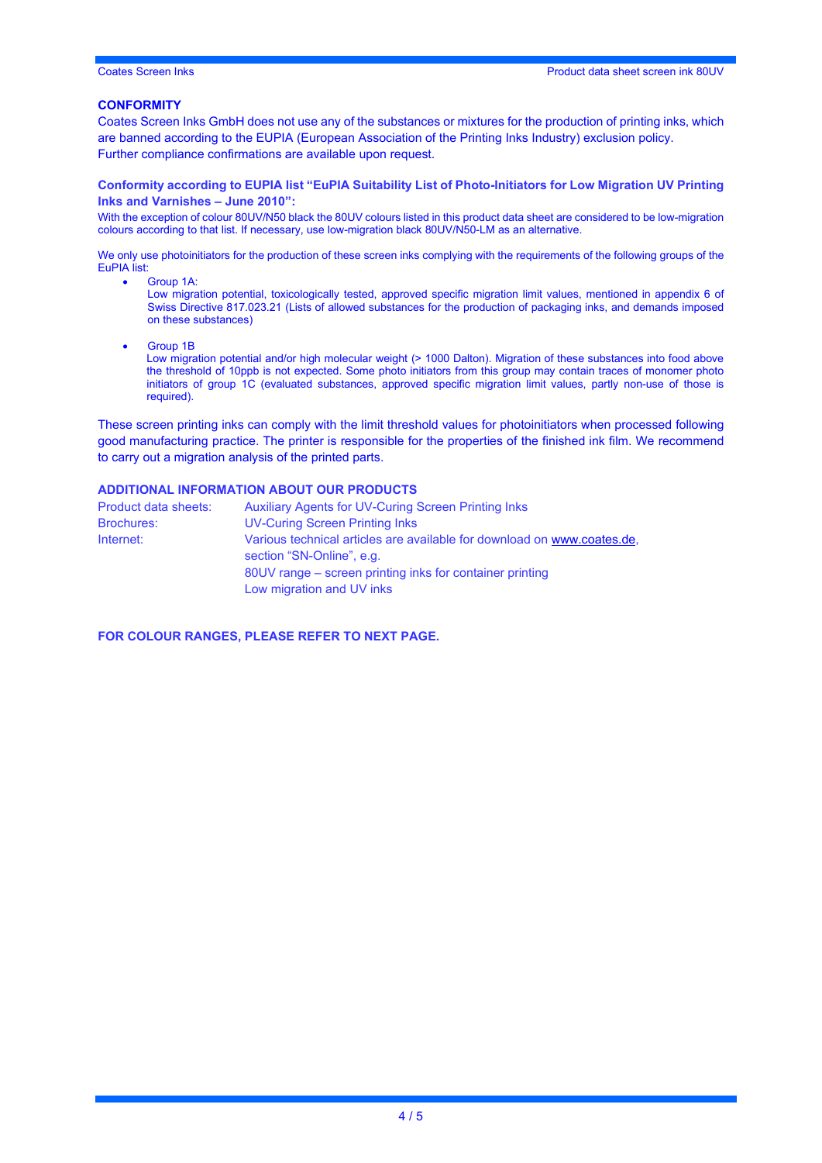#### **CONFORMITY**

Coates Screen Inks GmbH does not use any of the substances or mixtures for the production of printing inks, which are banned according to the EUPIA (European Association of the Printing Inks Industry) exclusion policy. Further compliance confirmations are available upon request.

#### **Conformity according to EUPIA list "EuPIA Suitability List of Photo-Initiators for Low Migration UV Printing Inks and Varnishes – June 2010":**

With the exception of colour 80UV/N50 black the 80UV colours listed in this product data sheet are considered to be low-migration colours according to that list. If necessary, use low-migration black 80UV/N50-LM as an alternative.

We only use photoinitiators for the production of these screen inks complying with the requirements of the following groups of the EuPIA list:

- Group 1A:
	- Low migration potential, toxicologically tested, approved specific migration limit values, mentioned in appendix 6 of Swiss Directive 817.023.21 (Lists of allowed substances for the production of packaging inks, and demands imposed on these substances)
- Group 1B
	- Low migration potential and/or high molecular weight (> 1000 Dalton). Migration of these substances into food above the threshold of 10ppb is not expected. Some photo initiators from this group may contain traces of monomer photo initiators of group 1C (evaluated substances, approved specific migration limit values, partly non-use of those is required).

These screen printing inks can comply with the limit threshold values for photoinitiators when processed following good manufacturing practice. The printer is responsible for the properties of the finished ink film. We recommend to carry out a migration analysis of the printed parts.

#### **ADDITIONAL INFORMATION ABOUT OUR PRODUCTS**

| Product data sheets: | <b>Auxiliary Agents for UV-Curing Screen Printing Inks</b>                                           |  |  |
|----------------------|------------------------------------------------------------------------------------------------------|--|--|
| <b>Brochures:</b>    | <b>UV-Curing Screen Printing Inks</b>                                                                |  |  |
| Internet:            | Various technical articles are available for download on www.coates.de.<br>section "SN-Online", e.g. |  |  |
|                      | 80UV range – screen printing inks for container printing                                             |  |  |
|                      | Low migration and UV inks                                                                            |  |  |

**FOR COLOUR RANGES, PLEASE REFER TO NEXT PAGE.**